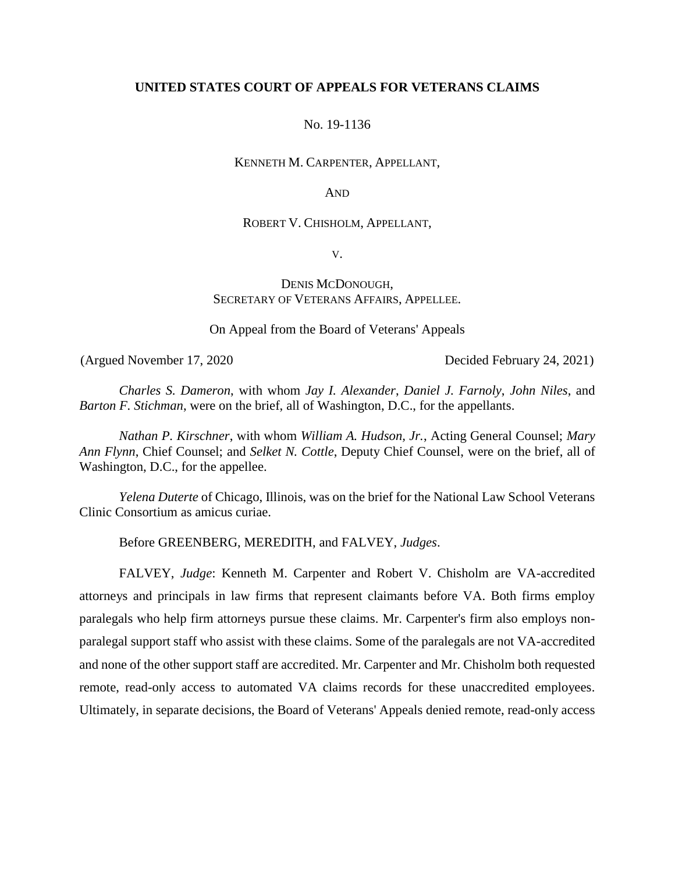## **UNITED STATES COURT OF APPEALS FOR VETERANS CLAIMS**

No. 19-1136

KENNETH M. CARPENTER, APPELLANT,

AND

#### ROBERT V. CHISHOLM, APPELLANT,

V.

## DENIS MCDONOUGH, SECRETARY OF VETERANS AFFAIRS, APPELLEE.

On Appeal from the Board of Veterans' Appeals

(Argued November 17, 2020 Decided February 24, 2021)

*Charles S. Dameron*, with whom *Jay I. Alexander*, *Daniel J. Farnoly*, *John Niles*, and *Barton F. Stichman*, were on the brief, all of Washington, D.C., for the appellants.

*Nathan P. Kirschner*, with whom *William A. Hudson, Jr.*, Acting General Counsel; *Mary Ann Flynn*, Chief Counsel; and *Selket N. Cottle*, Deputy Chief Counsel, were on the brief, all of Washington, D.C., for the appellee.

*Yelena Duterte* of Chicago, Illinois, was on the brief for the National Law School Veterans Clinic Consortium as amicus curiae.

Before GREENBERG, MEREDITH, and FALVEY, *Judges*.

FALVEY, *Judge*: Kenneth M. Carpenter and Robert V. Chisholm are VA-accredited attorneys and principals in law firms that represent claimants before VA. Both firms employ paralegals who help firm attorneys pursue these claims. Mr. Carpenter's firm also employs nonparalegal support staff who assist with these claims. Some of the paralegals are not VA-accredited and none of the other support staff are accredited. Mr. Carpenter and Mr. Chisholm both requested remote, read-only access to automated VA claims records for these unaccredited employees. Ultimately, in separate decisions, the Board of Veterans' Appeals denied remote, read-only access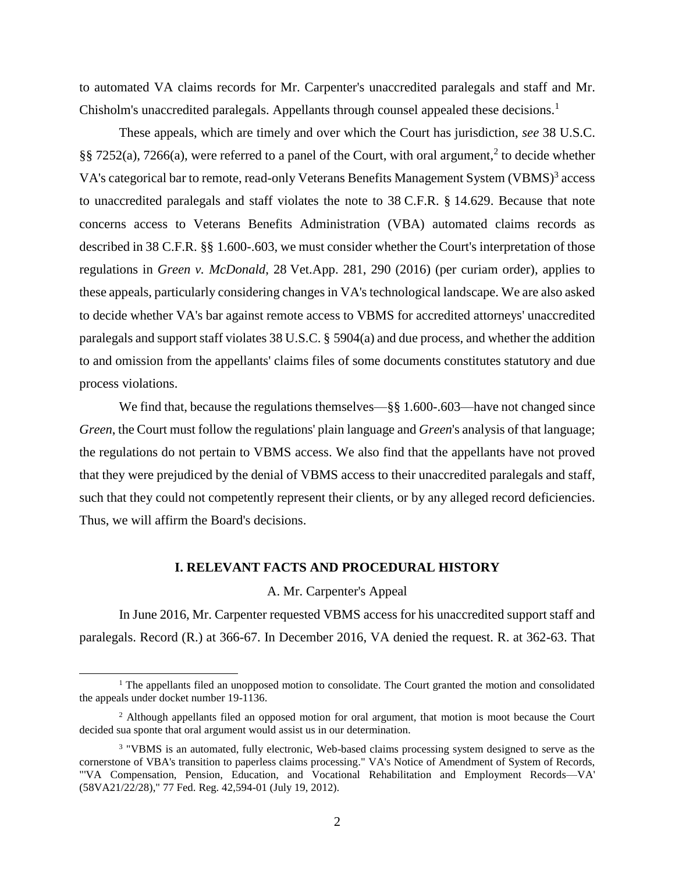to automated VA claims records for Mr. Carpenter's unaccredited paralegals and staff and Mr. Chisholm's unaccredited paralegals. Appellants through counsel appealed these decisions.<sup>1</sup>

These appeals, which are timely and over which the Court has jurisdiction, *see* 38 U.S.C. §§ 7252(a), 7266(a), were referred to a panel of the Court, with oral argument,<sup>2</sup> to decide whether VA's categorical bar to remote, read-only Veterans Benefits Management System (VBMS)<sup>3</sup> access to unaccredited paralegals and staff violates the note to 38 C.F.R. § 14.629. Because that note concerns access to Veterans Benefits Administration (VBA) automated claims records as described in 38 C.F.R. §§ 1.600-.603, we must consider whether the Court's interpretation of those regulations in *Green v. McDonald*, 28 Vet.App. 281, 290 (2016) (per curiam order), applies to these appeals, particularly considering changesin VA's technological landscape. We are also asked to decide whether VA's bar against remote access to VBMS for accredited attorneys' unaccredited paralegals and support staff violates 38 U.S.C. § 5904(a) and due process, and whether the addition to and omission from the appellants' claims files of some documents constitutes statutory and due process violations.

We find that, because the regulations themselves—§§ 1.600-.603—have not changed since *Green*, the Court must follow the regulations' plain language and *Green*'s analysis of that language; the regulations do not pertain to VBMS access. We also find that the appellants have not proved that they were prejudiced by the denial of VBMS access to their unaccredited paralegals and staff, such that they could not competently represent their clients, or by any alleged record deficiencies. Thus, we will affirm the Board's decisions.

#### **I. RELEVANT FACTS AND PROCEDURAL HISTORY**

A. Mr. Carpenter's Appeal

In June 2016, Mr. Carpenter requested VBMS access for his unaccredited support staff and paralegals. Record (R.) at 366-67. In December 2016, VA denied the request. R. at 362-63. That

<sup>&</sup>lt;sup>1</sup> The appellants filed an unopposed motion to consolidate. The Court granted the motion and consolidated the appeals under docket number 19-1136.

<sup>&</sup>lt;sup>2</sup> Although appellants filed an opposed motion for oral argument, that motion is moot because the Court decided sua sponte that oral argument would assist us in our determination.

<sup>&</sup>lt;sup>3</sup> "VBMS is an automated, fully electronic, Web-based claims processing system designed to serve as the cornerstone of VBA's transition to paperless claims processing." VA's Notice of Amendment of System of Records, "'VA Compensation, Pension, Education, and Vocational Rehabilitation and Employment Records—VA' (58VA21/22/28)," 77 Fed. Reg. 42,594-01 (July 19, 2012).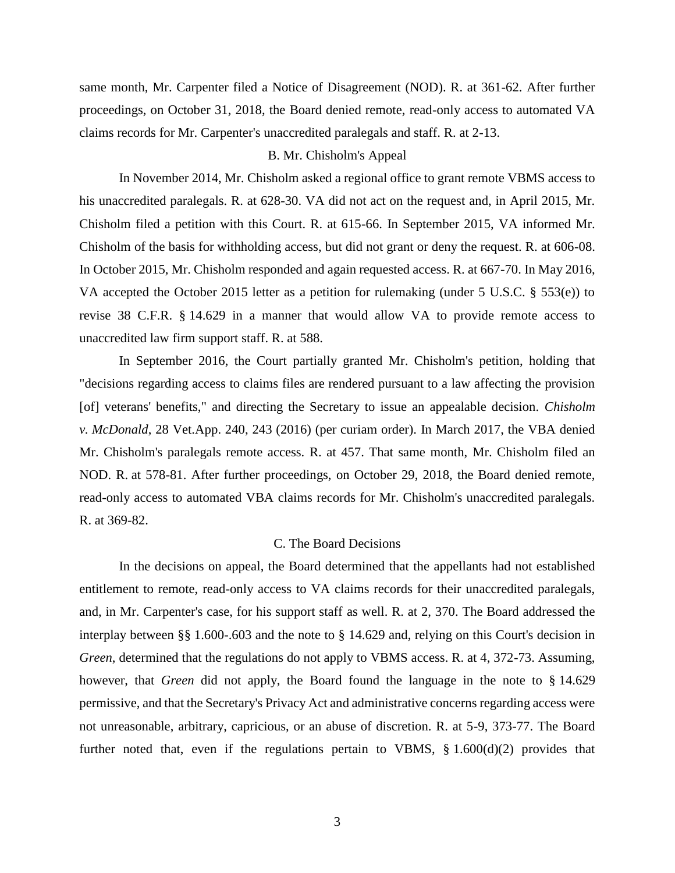same month, Mr. Carpenter filed a Notice of Disagreement (NOD). R. at 361-62. After further proceedings, on October 31, 2018, the Board denied remote, read-only access to automated VA claims records for Mr. Carpenter's unaccredited paralegals and staff. R. at 2-13.

#### B. Mr. Chisholm's Appeal

In November 2014, Mr. Chisholm asked a regional office to grant remote VBMS access to his unaccredited paralegals. R. at 628-30. VA did not act on the request and, in April 2015, Mr. Chisholm filed a petition with this Court. R. at 615-66. In September 2015, VA informed Mr. Chisholm of the basis for withholding access, but did not grant or deny the request. R. at 606-08. In October 2015, Mr. Chisholm responded and again requested access. R. at 667-70. In May 2016, VA accepted the October 2015 letter as a petition for rulemaking (under 5 U.S.C. § 553(e)) to revise 38 C.F.R. § 14.629 in a manner that would allow VA to provide remote access to unaccredited law firm support staff. R. at 588.

In September 2016, the Court partially granted Mr. Chisholm's petition, holding that "decisions regarding access to claims files are rendered pursuant to a law affecting the provision [of] veterans' benefits," and directing the Secretary to issue an appealable decision. *Chisholm v. McDonald*, 28 Vet.App. 240, 243 (2016) (per curiam order). In March 2017, the VBA denied Mr. Chisholm's paralegals remote access. R. at 457. That same month, Mr. Chisholm filed an NOD. R. at 578-81. After further proceedings, on October 29, 2018, the Board denied remote, read-only access to automated VBA claims records for Mr. Chisholm's unaccredited paralegals. R. at 369-82.

#### C. The Board Decisions

In the decisions on appeal, the Board determined that the appellants had not established entitlement to remote, read-only access to VA claims records for their unaccredited paralegals, and, in Mr. Carpenter's case, for his support staff as well. R. at 2, 370. The Board addressed the interplay between §§ 1.600-.603 and the note to § 14.629 and, relying on this Court's decision in *Green*, determined that the regulations do not apply to VBMS access. R. at 4, 372-73. Assuming, however, that *Green* did not apply, the Board found the language in the note to § 14.629 permissive, and that the Secretary's Privacy Act and administrative concerns regarding access were not unreasonable, arbitrary, capricious, or an abuse of discretion. R. at 5-9, 373-77. The Board further noted that, even if the regulations pertain to VBMS,  $\S 1.600(d)(2)$  provides that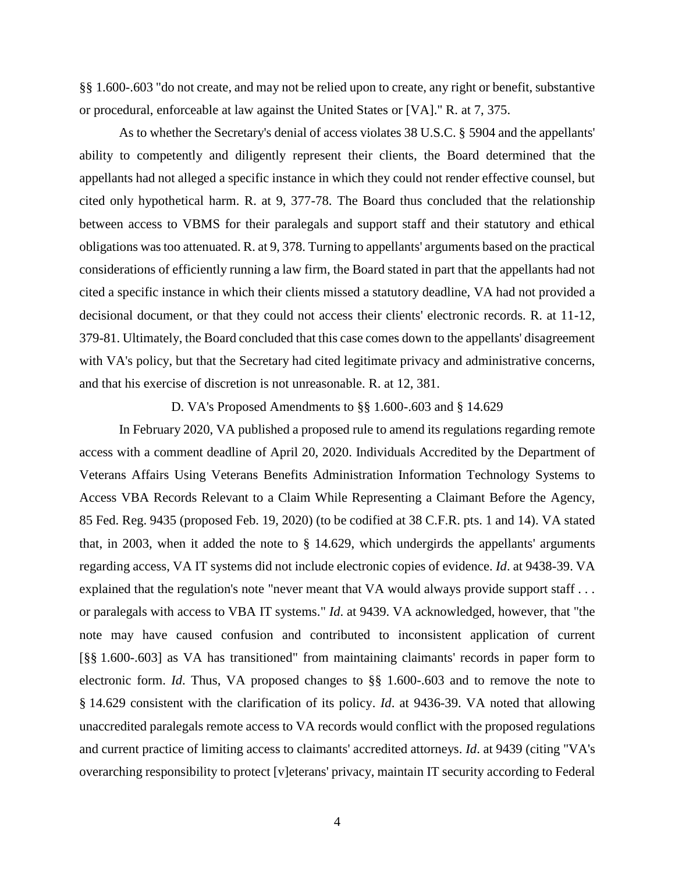§§ 1.600-.603 "do not create, and may not be relied upon to create, any right or benefit, substantive or procedural, enforceable at law against the United States or [VA]." R. at 7, 375.

As to whether the Secretary's denial of access violates 38 U.S.C. § 5904 and the appellants' ability to competently and diligently represent their clients, the Board determined that the appellants had not alleged a specific instance in which they could not render effective counsel, but cited only hypothetical harm. R. at 9, 377-78. The Board thus concluded that the relationship between access to VBMS for their paralegals and support staff and their statutory and ethical obligations was too attenuated. R. at 9, 378. Turning to appellants' arguments based on the practical considerations of efficiently running a law firm, the Board stated in part that the appellants had not cited a specific instance in which their clients missed a statutory deadline, VA had not provided a decisional document, or that they could not access their clients' electronic records. R. at 11-12, 379-81. Ultimately, the Board concluded that this case comes down to the appellants' disagreement with VA's policy, but that the Secretary had cited legitimate privacy and administrative concerns, and that his exercise of discretion is not unreasonable. R. at 12, 381.

D. VA's Proposed Amendments to §§ 1.600-.603 and § 14.629

In February 2020, VA published a proposed rule to amend its regulations regarding remote access with a comment deadline of April 20, 2020. Individuals Accredited by the Department of Veterans Affairs Using Veterans Benefits Administration Information Technology Systems to Access VBA Records Relevant to a Claim While Representing a Claimant Before the Agency, 85 Fed. Reg. 9435 (proposed Feb. 19, 2020) (to be codified at 38 C.F.R. pts. 1 and 14). VA stated that, in 2003, when it added the note to § 14.629, which undergirds the appellants' arguments regarding access, VA IT systems did not include electronic copies of evidence. *Id*. at 9438-39. VA explained that the regulation's note "never meant that VA would always provide support staff . . . or paralegals with access to VBA IT systems." *Id*. at 9439. VA acknowledged, however, that "the note may have caused confusion and contributed to inconsistent application of current [§§ 1.600-.603] as VA has transitioned" from maintaining claimants' records in paper form to electronic form. *Id*. Thus, VA proposed changes to §§ 1.600-.603 and to remove the note to § 14.629 consistent with the clarification of its policy. *Id*. at 9436-39. VA noted that allowing unaccredited paralegals remote access to VA records would conflict with the proposed regulations and current practice of limiting access to claimants' accredited attorneys. *Id*. at 9439 (citing "VA's overarching responsibility to protect [v]eterans' privacy, maintain IT security according to Federal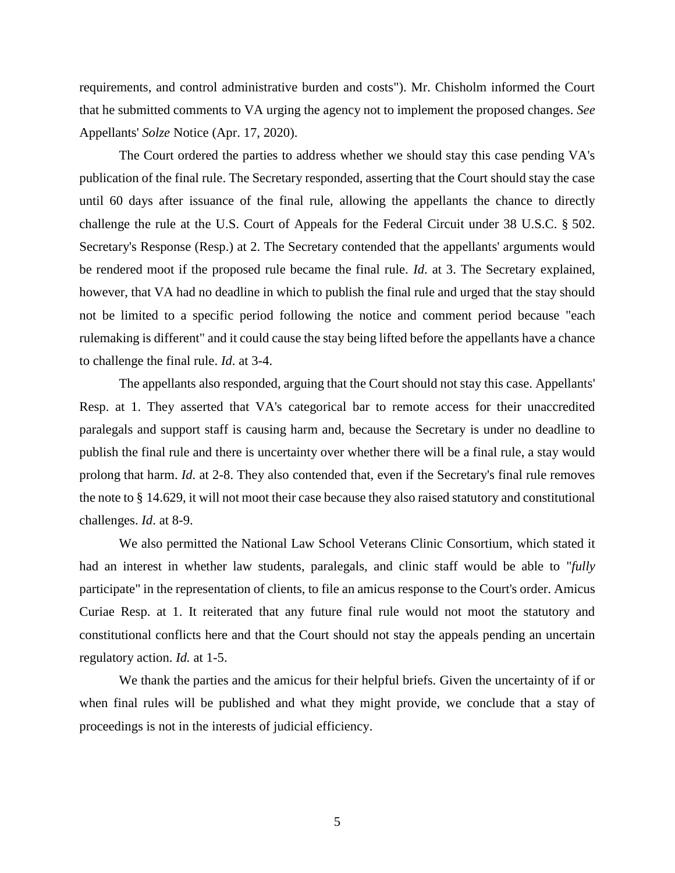requirements, and control administrative burden and costs"). Mr. Chisholm informed the Court that he submitted comments to VA urging the agency not to implement the proposed changes. *See*  Appellants' *Solze* Notice (Apr. 17, 2020).

The Court ordered the parties to address whether we should stay this case pending VA's publication of the final rule. The Secretary responded, asserting that the Court should stay the case until 60 days after issuance of the final rule, allowing the appellants the chance to directly challenge the rule at the U.S. Court of Appeals for the Federal Circuit under 38 U.S.C. § 502. Secretary's Response (Resp.) at 2. The Secretary contended that the appellants' arguments would be rendered moot if the proposed rule became the final rule. *Id*. at 3. The Secretary explained, however, that VA had no deadline in which to publish the final rule and urged that the stay should not be limited to a specific period following the notice and comment period because "each rulemaking is different" and it could cause the stay being lifted before the appellants have a chance to challenge the final rule. *Id*. at 3-4.

The appellants also responded, arguing that the Court should not stay this case. Appellants' Resp. at 1. They asserted that VA's categorical bar to remote access for their unaccredited paralegals and support staff is causing harm and, because the Secretary is under no deadline to publish the final rule and there is uncertainty over whether there will be a final rule, a stay would prolong that harm. *Id*. at 2-8. They also contended that, even if the Secretary's final rule removes the note to § 14.629, it will not moot their case because they also raised statutory and constitutional challenges. *Id*. at 8-9.

We also permitted the National Law School Veterans Clinic Consortium, which stated it had an interest in whether law students, paralegals, and clinic staff would be able to "*fully* participate" in the representation of clients, to file an amicus response to the Court's order. Amicus Curiae Resp. at 1. It reiterated that any future final rule would not moot the statutory and constitutional conflicts here and that the Court should not stay the appeals pending an uncertain regulatory action. *Id.* at 1-5.

We thank the parties and the amicus for their helpful briefs. Given the uncertainty of if or when final rules will be published and what they might provide, we conclude that a stay of proceedings is not in the interests of judicial efficiency.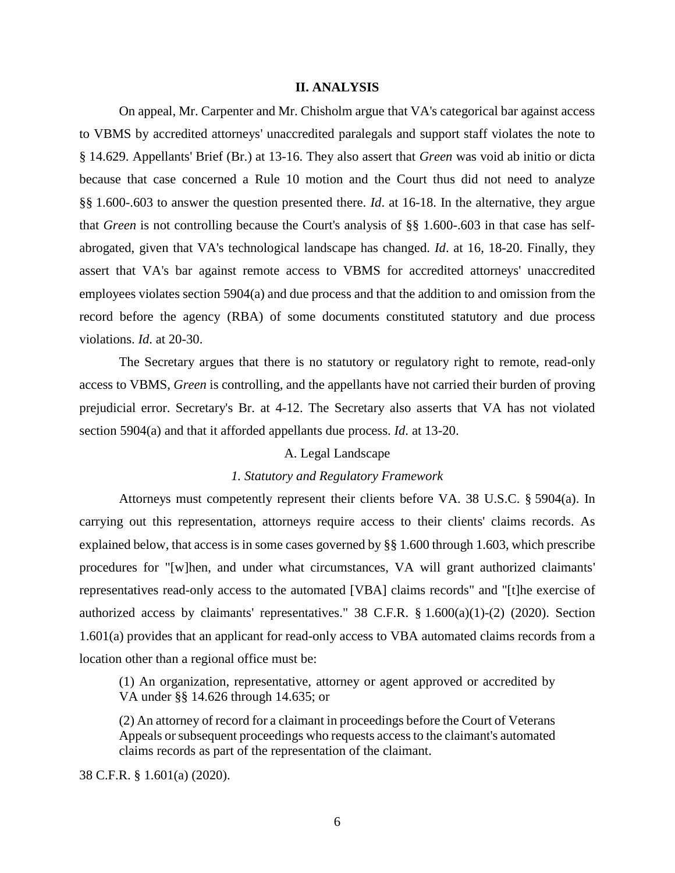#### **II. ANALYSIS**

On appeal, Mr. Carpenter and Mr. Chisholm argue that VA's categorical bar against access to VBMS by accredited attorneys' unaccredited paralegals and support staff violates the note to § 14.629. Appellants' Brief (Br.) at 13-16. They also assert that *Green* was void ab initio or dicta because that case concerned a Rule 10 motion and the Court thus did not need to analyze §§ 1.600-.603 to answer the question presented there. *Id*. at 16-18. In the alternative, they argue that *Green* is not controlling because the Court's analysis of §§ 1.600-.603 in that case has selfabrogated, given that VA's technological landscape has changed. *Id*. at 16, 18-20. Finally, they assert that VA's bar against remote access to VBMS for accredited attorneys' unaccredited employees violates section 5904(a) and due process and that the addition to and omission from the record before the agency (RBA) of some documents constituted statutory and due process violations. *Id*. at 20-30.

The Secretary argues that there is no statutory or regulatory right to remote, read-only access to VBMS, *Green* is controlling, and the appellants have not carried their burden of proving prejudicial error. Secretary's Br. at 4-12. The Secretary also asserts that VA has not violated section 5904(a) and that it afforded appellants due process. *Id*. at 13-20.

# A. Legal Landscape

#### *1. Statutory and Regulatory Framework*

Attorneys must competently represent their clients before VA. 38 U.S.C. § 5904(a). In carrying out this representation, attorneys require access to their clients' claims records. As explained below, that access is in some cases governed by §§ 1.600 through 1.603, which prescribe procedures for "[w]hen, and under what circumstances, VA will grant authorized claimants' representatives read-only access to the automated [VBA] claims records" and "[t]he exercise of authorized access by claimants' representatives." 38 C.F.R. § 1.600(a)(1)-(2) (2020). Section 1.601(a) provides that an applicant for read-only access to VBA automated claims records from a location other than a regional office must be:

(1) An organization, representative, attorney or agent approved or accredited by VA under §§ 14.626 through 14.635; or

(2) An attorney of record for a claimant in proceedings before the Court of Veterans Appeals or subsequent proceedings who requests access to the claimant's automated claims records as part of the representation of the claimant.

38 C.F.R. § 1.601(a) (2020).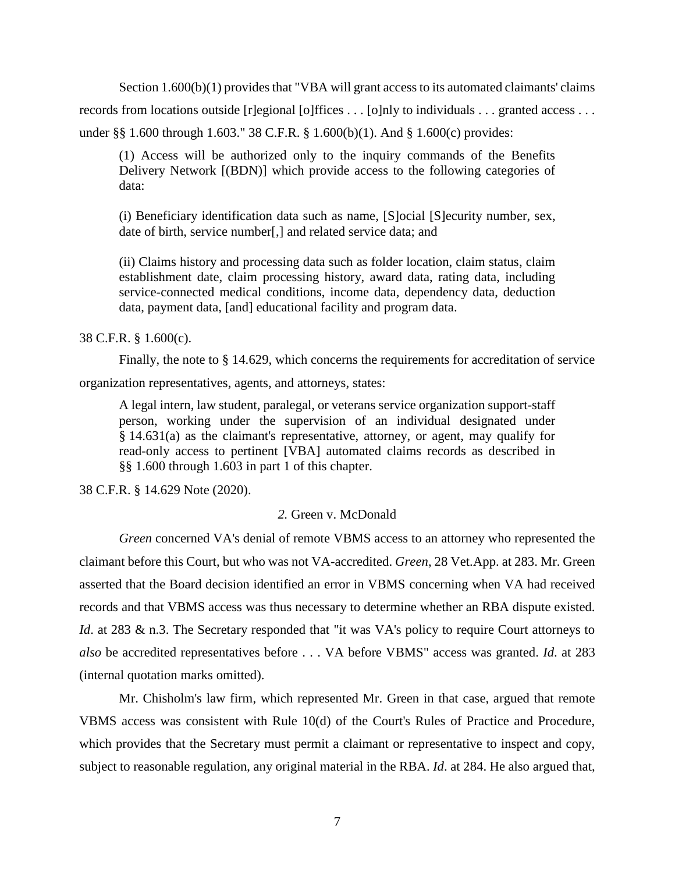Section 1.600(b)(1) provides that "VBA will grant access to its automated claimants' claims records from locations outside [r]egional [o]ffices . . . [o]nly to individuals . . . granted access . . . under §§ 1.600 through 1.603." 38 C.F.R. § 1.600(b)(1). And § 1.600(c) provides:

(1) Access will be authorized only to the inquiry commands of the Benefits Delivery Network [(BDN)] which provide access to the following categories of data:

(i) Beneficiary identification data such as name, [S]ocial [S]ecurity number, sex, date of birth, service number[,] and related service data; and

(ii) Claims history and processing data such as folder location, claim status, claim establishment date, claim processing history, award data, rating data, including service-connected medical conditions, income data, dependency data, deduction data, payment data, [and] educational facility and program data.

# 38 C.F.R. § 1.600(c).

Finally, the note to § 14.629, which concerns the requirements for accreditation of service organization representatives, agents, and attorneys, states:

A legal intern, law student, paralegal, or veterans service organization support-staff person, working under the supervision of an individual designated under § 14.631(a) as the claimant's representative, attorney, or agent, may qualify for read-only access to pertinent [VBA] automated claims records as described in §§ 1.600 through 1.603 in part 1 of this chapter.

38 C.F.R. § 14.629 Note (2020).

# *2.* Green v. McDonald

*Green* concerned VA's denial of remote VBMS access to an attorney who represented the claimant before this Court, but who was not VA-accredited. *Green*, 28 Vet.App. at 283. Mr. Green asserted that the Board decision identified an error in VBMS concerning when VA had received records and that VBMS access was thus necessary to determine whether an RBA dispute existed. *Id.* at 283 & n.3. The Secretary responded that "it was VA's policy to require Court attorneys to *also* be accredited representatives before . . . VA before VBMS" access was granted. *Id*. at 283 (internal quotation marks omitted).

Mr. Chisholm's law firm, which represented Mr. Green in that case, argued that remote VBMS access was consistent with Rule 10(d) of the Court's Rules of Practice and Procedure, which provides that the Secretary must permit a claimant or representative to inspect and copy, subject to reasonable regulation, any original material in the RBA. *Id*. at 284. He also argued that,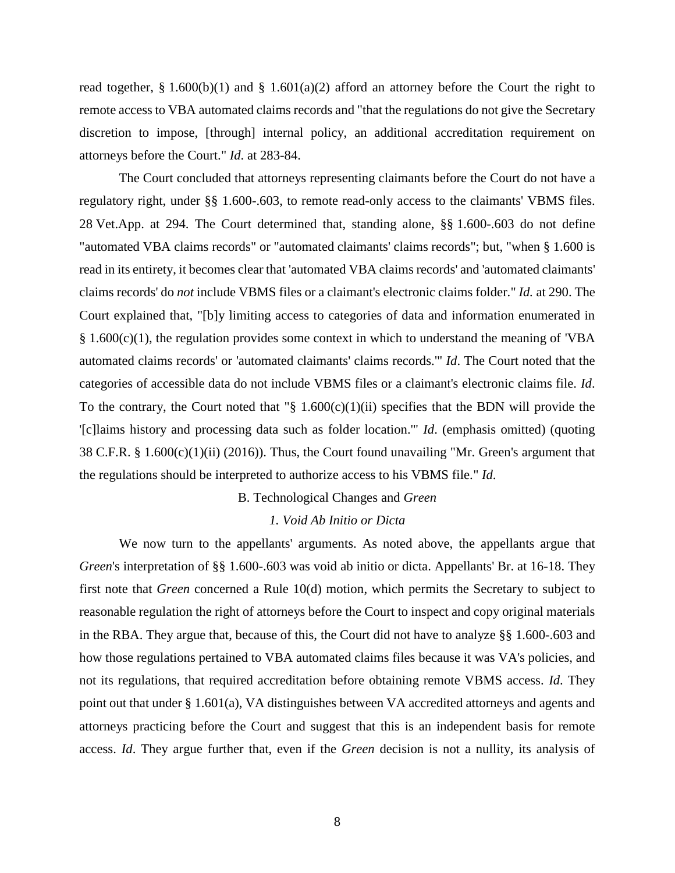read together, § 1.600(b)(1) and § 1.601(a)(2) afford an attorney before the Court the right to remote access to VBA automated claims records and "that the regulations do not give the Secretary discretion to impose, [through] internal policy, an additional accreditation requirement on attorneys before the Court." *Id*. at 283-84.

The Court concluded that attorneys representing claimants before the Court do not have a regulatory right, under §§ 1.600-.603, to remote read-only access to the claimants' VBMS files. 28 Vet.App. at 294. The Court determined that, standing alone, §§ 1.600-.603 do not define "automated VBA claims records" or "automated claimants' claims records"; but, "when § 1.600 is read in its entirety, it becomes clear that 'automated VBA claims records' and 'automated claimants' claims records' do *not* include VBMS files or a claimant's electronic claims folder." *Id.* at 290. The Court explained that, "[b]y limiting access to categories of data and information enumerated in  $§ 1.600(c)(1)$ , the regulation provides some context in which to understand the meaning of 'VBA automated claims records' or 'automated claimants' claims records.'" *Id*. The Court noted that the categories of accessible data do not include VBMS files or a claimant's electronic claims file. *Id*. To the contrary, the Court noted that " $\S$  1.600(c)(1)(ii) specifies that the BDN will provide the '[c]laims history and processing data such as folder location.'" *Id*. (emphasis omitted) (quoting 38 C.F.R. § 1.600(c)(1)(ii) (2016)). Thus, the Court found unavailing "Mr. Green's argument that the regulations should be interpreted to authorize access to his VBMS file." *Id*.

## B. Technological Changes and *Green*

## *1. Void Ab Initio or Dicta*

We now turn to the appellants' arguments. As noted above, the appellants argue that *Green*'s interpretation of §§ 1.600-.603 was void ab initio or dicta. Appellants' Br. at 16-18. They first note that *Green* concerned a Rule 10(d) motion, which permits the Secretary to subject to reasonable regulation the right of attorneys before the Court to inspect and copy original materials in the RBA. They argue that, because of this, the Court did not have to analyze §§ 1.600-.603 and how those regulations pertained to VBA automated claims files because it was VA's policies, and not its regulations, that required accreditation before obtaining remote VBMS access. *Id*. They point out that under § 1.601(a), VA distinguishes between VA accredited attorneys and agents and attorneys practicing before the Court and suggest that this is an independent basis for remote access. *Id*. They argue further that, even if the *Green* decision is not a nullity, its analysis of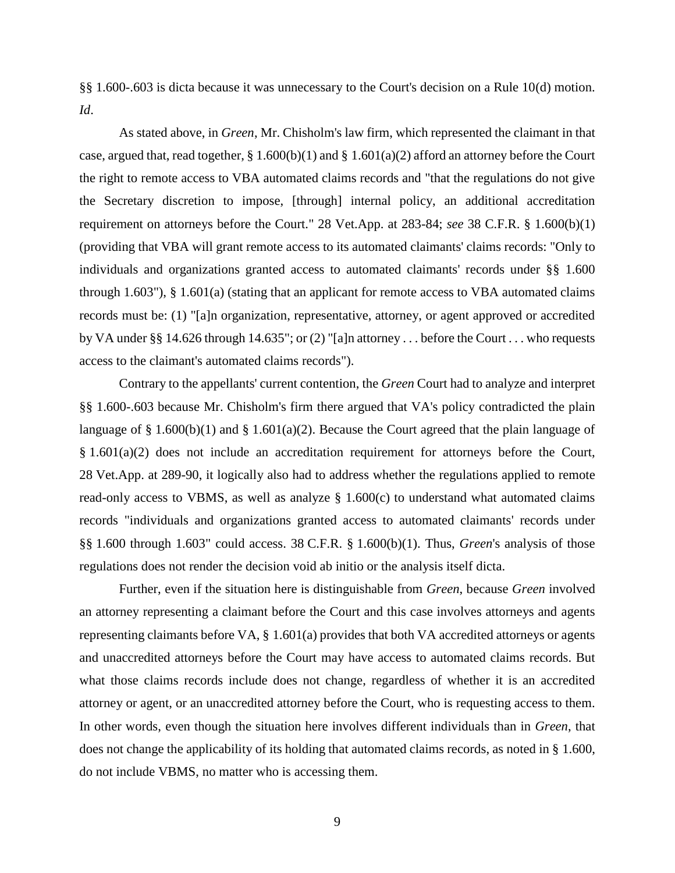§§ 1.600-.603 is dicta because it was unnecessary to the Court's decision on a Rule 10(d) motion. *Id*.

As stated above, in *Green*, Mr. Chisholm's law firm, which represented the claimant in that case, argued that, read together, § 1.600(b)(1) and § 1.601(a)(2) afford an attorney before the Court the right to remote access to VBA automated claims records and "that the regulations do not give the Secretary discretion to impose, [through] internal policy, an additional accreditation requirement on attorneys before the Court." 28 Vet.App. at 283-84; *see* 38 C.F.R. § 1.600(b)(1) (providing that VBA will grant remote access to its automated claimants' claims records: "Only to individuals and organizations granted access to automated claimants' records under §§ 1.600 through 1.603"), § 1.601(a) (stating that an applicant for remote access to VBA automated claims records must be: (1) "[a]n organization, representative, attorney, or agent approved or accredited by VA under §§ 14.626 through 14.635"; or (2) "[a]n attorney . . . before the Court . . . who requests access to the claimant's automated claims records").

Contrary to the appellants' current contention, the *Green* Court had to analyze and interpret §§ 1.600-.603 because Mr. Chisholm's firm there argued that VA's policy contradicted the plain language of § 1.600(b)(1) and § 1.601(a)(2). Because the Court agreed that the plain language of § 1.601(a)(2) does not include an accreditation requirement for attorneys before the Court, 28 Vet.App. at 289-90, it logically also had to address whether the regulations applied to remote read-only access to VBMS, as well as analyze  $\S$  1.600 $(c)$  to understand what automated claims records "individuals and organizations granted access to automated claimants' records under §§ 1.600 through 1.603" could access. 38 C.F.R. § 1.600(b)(1). Thus, *Green*'s analysis of those regulations does not render the decision void ab initio or the analysis itself dicta.

Further, even if the situation here is distinguishable from *Green*, because *Green* involved an attorney representing a claimant before the Court and this case involves attorneys and agents representing claimants before VA, § 1.601(a) provides that both VA accredited attorneys or agents and unaccredited attorneys before the Court may have access to automated claims records. But what those claims records include does not change, regardless of whether it is an accredited attorney or agent, or an unaccredited attorney before the Court, who is requesting access to them. In other words, even though the situation here involves different individuals than in *Green*, that does not change the applicability of its holding that automated claims records, as noted in § 1.600, do not include VBMS, no matter who is accessing them.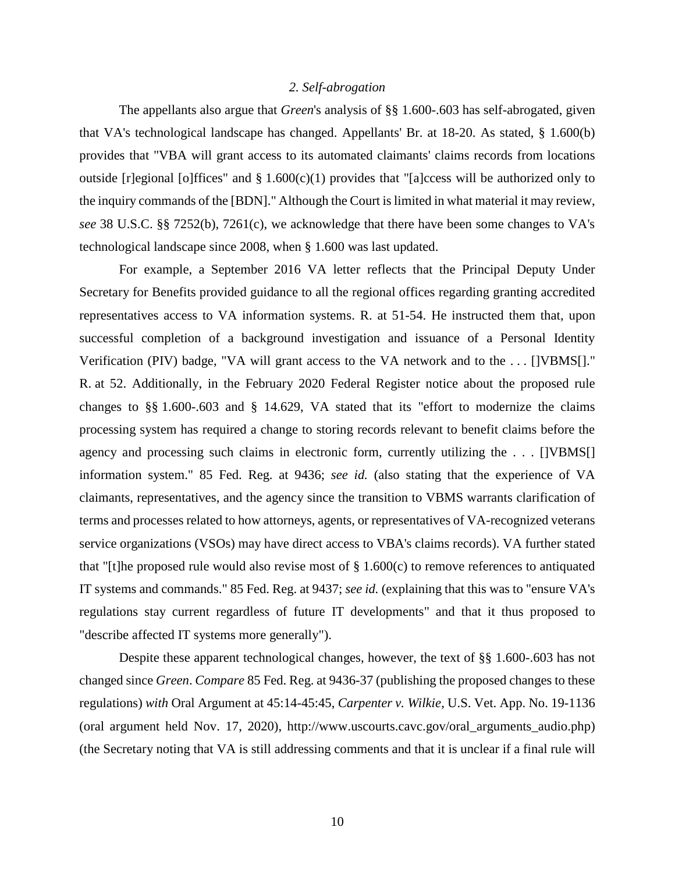## *2. Self-abrogation*

The appellants also argue that *Green*'s analysis of §§ 1.600-.603 has self-abrogated, given that VA's technological landscape has changed. Appellants' Br. at 18-20. As stated, § 1.600(b) provides that "VBA will grant access to its automated claimants' claims records from locations outside [r]egional [o]ffices" and  $\S 1.600(c)(1)$  provides that "[a]ccess will be authorized only to the inquiry commands of the [BDN]." Although the Court is limited in what material it may review, *see* 38 U.S.C. §§ 7252(b), 7261(c), we acknowledge that there have been some changes to VA's technological landscape since 2008, when § 1.600 was last updated.

For example, a September 2016 VA letter reflects that the Principal Deputy Under Secretary for Benefits provided guidance to all the regional offices regarding granting accredited representatives access to VA information systems. R. at 51-54. He instructed them that, upon successful completion of a background investigation and issuance of a Personal Identity Verification (PIV) badge, "VA will grant access to the VA network and to the . . . []VBMS[]." R. at 52. Additionally, in the February 2020 Federal Register notice about the proposed rule changes to §§ 1.600-.603 and § 14.629, VA stated that its "effort to modernize the claims processing system has required a change to storing records relevant to benefit claims before the agency and processing such claims in electronic form, currently utilizing the . . . []VBMS[] information system." 85 Fed. Reg. at 9436; *see id.* (also stating that the experience of VA claimants, representatives, and the agency since the transition to VBMS warrants clarification of terms and processes related to how attorneys, agents, or representatives of VA-recognized veterans service organizations (VSOs) may have direct access to VBA's claims records). VA further stated that "[t]he proposed rule would also revise most of  $\S 1.600(c)$  to remove references to antiquated IT systems and commands." 85 Fed. Reg. at 9437; *see id.* (explaining that this was to "ensure VA's regulations stay current regardless of future IT developments" and that it thus proposed to "describe affected IT systems more generally").

Despite these apparent technological changes, however, the text of §§ 1.600-.603 has not changed since *Green*. *Compare* 85 Fed. Reg. at 9436-37 (publishing the proposed changes to these regulations) *with* Oral Argument at 45:14-45:45, *Carpenter v. Wilkie*, U.S. Vet. App. No. 19-1136 (oral argument held Nov. 17, 2020), [http://www.uscourts.cavc.gov/oral\\_arguments\\_audio.php\)](http://www.uscourts.cavc.gov/oral_arguments_audio.php) (the Secretary noting that VA is still addressing comments and that it is unclear if a final rule will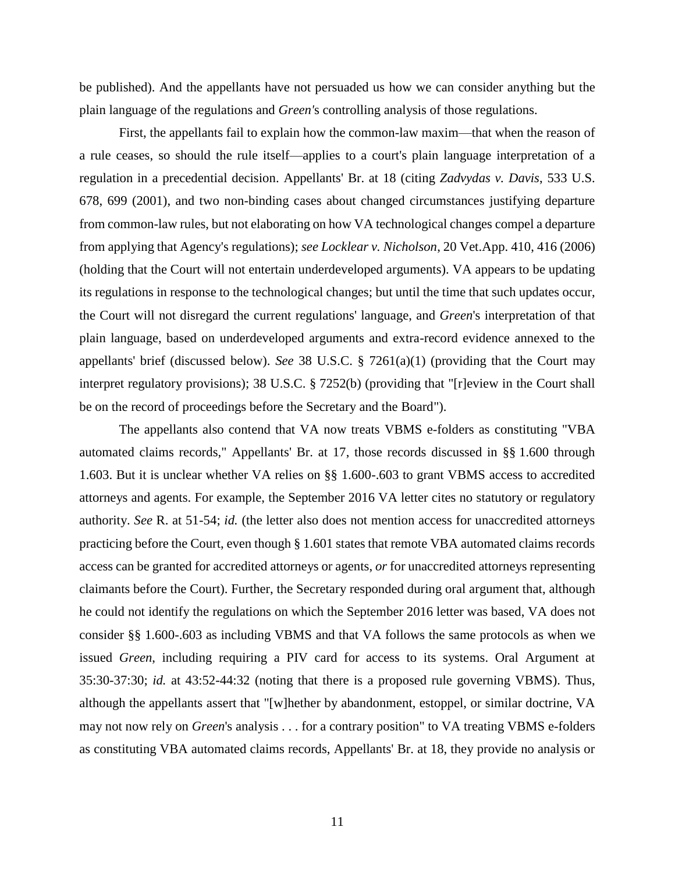be published). And the appellants have not persuaded us how we can consider anything but the plain language of the regulations and *Green'*s controlling analysis of those regulations.

First, the appellants fail to explain how the common-law maxim—that when the reason of a rule ceases, so should the rule itself—applies to a court's plain language interpretation of a regulation in a precedential decision. Appellants' Br. at 18 (citing *Zadvydas v. Davis*, 533 U.S. 678, 699 (2001), and two non-binding cases about changed circumstances justifying departure from common-law rules, but not elaborating on how VA technological changes compel a departure from applying that Agency's regulations); *see Locklear v. Nicholson*, 20 Vet.App. 410, 416 (2006) (holding that the Court will not entertain underdeveloped arguments). VA appears to be updating its regulations in response to the technological changes; but until the time that such updates occur, the Court will not disregard the current regulations' language, and *Green*'s interpretation of that plain language, based on underdeveloped arguments and extra-record evidence annexed to the appellants' brief (discussed below). *See* 38 U.S.C. § 7261(a)(1) (providing that the Court may interpret regulatory provisions); 38 U.S.C. § 7252(b) (providing that "[r]eview in the Court shall be on the record of proceedings before the Secretary and the Board").

The appellants also contend that VA now treats VBMS e-folders as constituting "VBA automated claims records," Appellants' Br. at 17, those records discussed in §§ 1.600 through 1.603. But it is unclear whether VA relies on §§ 1.600-.603 to grant VBMS access to accredited attorneys and agents. For example, the September 2016 VA letter cites no statutory or regulatory authority. *See* R. at 51-54; *id.* (the letter also does not mention access for unaccredited attorneys practicing before the Court, even though § 1.601 states that remote VBA automated claims records access can be granted for accredited attorneys or agents, *or* for unaccredited attorneys representing claimants before the Court). Further, the Secretary responded during oral argument that, although he could not identify the regulations on which the September 2016 letter was based, VA does not consider §§ 1.600-.603 as including VBMS and that VA follows the same protocols as when we issued *Green*, including requiring a PIV card for access to its systems. Oral Argument at 35:30-37:30; *id.* at 43:52-44:32 (noting that there is a proposed rule governing VBMS). Thus, although the appellants assert that "[w]hether by abandonment, estoppel, or similar doctrine, VA may not now rely on *Green*'s analysis . . . for a contrary position" to VA treating VBMS e-folders as constituting VBA automated claims records, Appellants' Br. at 18, they provide no analysis or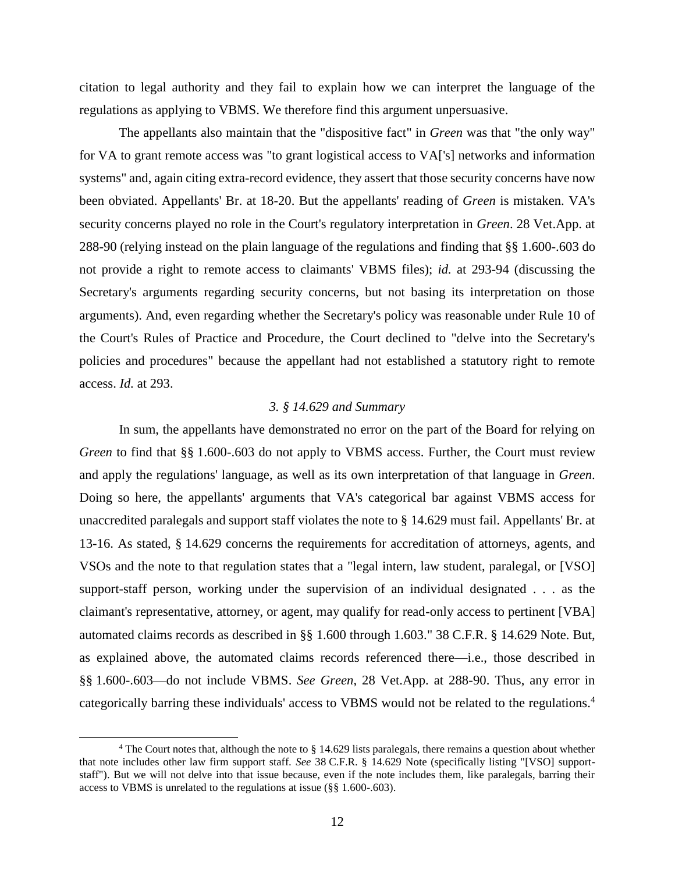citation to legal authority and they fail to explain how we can interpret the language of the regulations as applying to VBMS. We therefore find this argument unpersuasive.

The appellants also maintain that the "dispositive fact" in *Green* was that "the only way" for VA to grant remote access was "to grant logistical access to VA['s] networks and information systems" and, again citing extra-record evidence, they assert that those security concerns have now been obviated. Appellants' Br. at 18-20. But the appellants' reading of *Green* is mistaken. VA's security concerns played no role in the Court's regulatory interpretation in *Green*. 28 Vet.App. at 288-90 (relying instead on the plain language of the regulations and finding that §§ 1.600-.603 do not provide a right to remote access to claimants' VBMS files); *id.* at 293-94 (discussing the Secretary's arguments regarding security concerns, but not basing its interpretation on those arguments). And, even regarding whether the Secretary's policy was reasonable under Rule 10 of the Court's Rules of Practice and Procedure, the Court declined to "delve into the Secretary's policies and procedures" because the appellant had not established a statutory right to remote access. *Id.* at 293.

# *3. § 14.629 and Summary*

In sum, the appellants have demonstrated no error on the part of the Board for relying on *Green* to find that §§ 1.600-.603 do not apply to VBMS access. Further, the Court must review and apply the regulations' language, as well as its own interpretation of that language in *Green*. Doing so here, the appellants' arguments that VA's categorical bar against VBMS access for unaccredited paralegals and support staff violates the note to § 14.629 must fail. Appellants' Br. at 13-16. As stated, § 14.629 concerns the requirements for accreditation of attorneys, agents, and VSOs and the note to that regulation states that a "legal intern, law student, paralegal, or [VSO] support-staff person, working under the supervision of an individual designated . . . as the claimant's representative, attorney, or agent, may qualify for read-only access to pertinent [VBA] automated claims records as described in §§ 1.600 through 1.603." 38 C.F.R. § 14.629 Note. But, as explained above, the automated claims records referenced there—i.e., those described in §§ 1.600-.603—do not include VBMS. *See Green*, 28 Vet.App. at 288-90. Thus, any error in categorically barring these individuals' access to VBMS would not be related to the regulations.<sup>4</sup>

<sup>&</sup>lt;sup>4</sup> The Court notes that, although the note to § 14.629 lists paralegals, there remains a question about whether that note includes other law firm support staff. *See* 38 C.F.R. § 14.629 Note (specifically listing "[VSO] supportstaff"). But we will not delve into that issue because, even if the note includes them, like paralegals, barring their access to VBMS is unrelated to the regulations at issue (§§ 1.600-.603).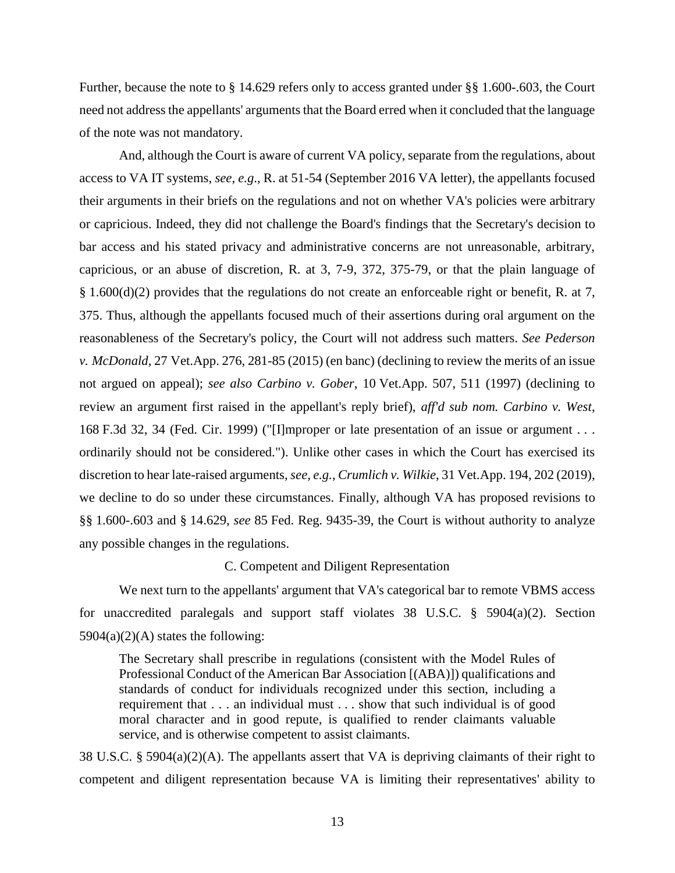Further, because the note to § 14.629 refers only to access granted under §§ 1.600-.603, the Court need not address the appellants' arguments that the Board erred when it concluded that the language of the note was not mandatory.

And, although the Court is aware of current VA policy, separate from the regulations, about access to VA IT systems, *see*, *e.g*., R. at 51-54 (September 2016 VA letter), the appellants focused their arguments in their briefs on the regulations and not on whether VA's policies were arbitrary or capricious. Indeed, they did not challenge the Board's findings that the Secretary's decision to bar access and his stated privacy and administrative concerns are not unreasonable, arbitrary, capricious, or an abuse of discretion, R. at 3, 7-9, 372, 375-79, or that the plain language of § 1.600(d)(2) provides that the regulations do not create an enforceable right or benefit, R. at 7, 375. Thus, although the appellants focused much of their assertions during oral argument on the reasonableness of the Secretary's policy, the Court will not address such matters. *See Pederson v. McDonald*, 27 Vet.App. 276, 281-85 (2015) (en banc) (declining to review the merits of an issue not argued on appeal); *see also Carbino v. Gober*, 10 Vet.App. 507, 511 (1997) (declining to review an argument first raised in the appellant's reply brief), *aff'd sub nom. Carbino v. West*, 168 F.3d 32, 34 (Fed. Cir. 1999) ("[I]mproper or late presentation of an issue or argument . . . ordinarily should not be considered."). Unlike other cases in which the Court has exercised its discretion to hear late-raised arguments, *see, e.g.*, *Crumlich v. Wilkie*, 31 Vet.App. 194, 202 (2019), we decline to do so under these circumstances. Finally, although VA has proposed revisions to §§ 1.600-.603 and § 14.629, *see* 85 Fed. Reg. 9435-39, the Court is without authority to analyze any possible changes in the regulations.

## C. Competent and Diligent Representation

We next turn to the appellants' argument that VA's categorical bar to remote VBMS access for unaccredited paralegals and support staff violates 38 U.S.C. § 5904(a)(2). Section  $5904(a)(2)(A)$  states the following:

The Secretary shall prescribe in regulations (consistent with the Model Rules of Professional Conduct of the American Bar Association [(ABA)]) qualifications and standards of conduct for individuals recognized under this section, including a requirement that . . . an individual must . . . show that such individual is of good moral character and in good repute, is qualified to render claimants valuable service, and is otherwise competent to assist claimants.

38 U.S.C. § 5904(a)(2)(A). The appellants assert that VA is depriving claimants of their right to competent and diligent representation because VA is limiting their representatives' ability to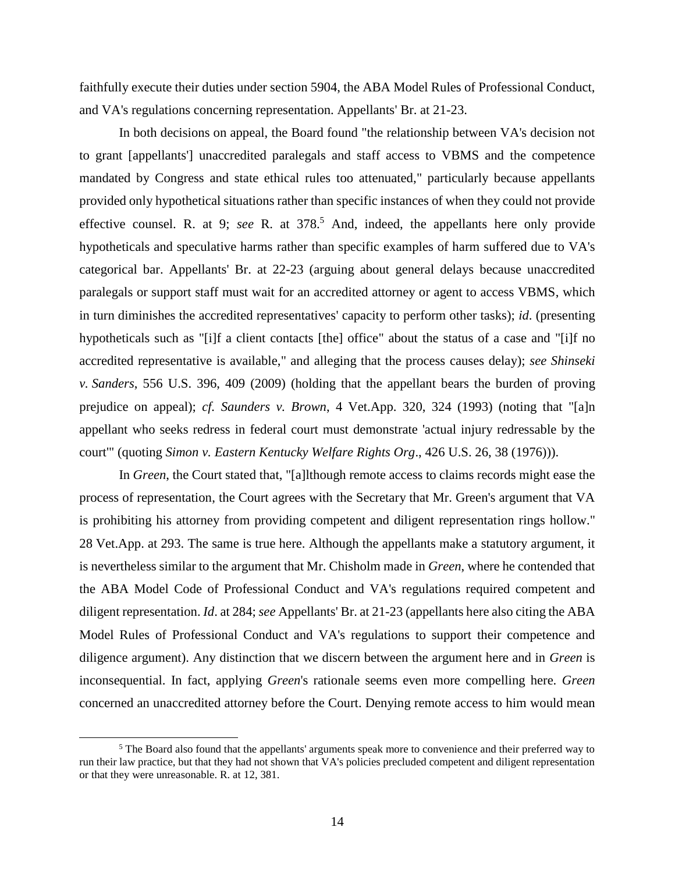faithfully execute their duties under section 5904, the ABA Model Rules of Professional Conduct, and VA's regulations concerning representation. Appellants' Br. at 21-23.

In both decisions on appeal, the Board found "the relationship between VA's decision not to grant [appellants'] unaccredited paralegals and staff access to VBMS and the competence mandated by Congress and state ethical rules too attenuated," particularly because appellants provided only hypothetical situations rather than specific instances of when they could not provide effective counsel. R. at 9; *see* R. at 378. <sup>5</sup> And, indeed, the appellants here only provide hypotheticals and speculative harms rather than specific examples of harm suffered due to VA's categorical bar. Appellants' Br. at 22-23 (arguing about general delays because unaccredited paralegals or support staff must wait for an accredited attorney or agent to access VBMS, which in turn diminishes the accredited representatives' capacity to perform other tasks); *id*. (presenting hypotheticals such as "[i]f a client contacts [the] office" about the status of a case and "[i]f no accredited representative is available," and alleging that the process causes delay); *see Shinseki v. Sanders*, 556 U.S. 396, 409 (2009) (holding that the appellant bears the burden of proving prejudice on appeal); *cf. Saunders v. Brown*, 4 Vet.App. 320, 324 (1993) (noting that "[a]n appellant who seeks redress in federal court must demonstrate 'actual injury redressable by the court'" (quoting *Simon v. Eastern Kentucky Welfare Rights Org*., 426 U.S. 26, 38 (1976))).

In *Green*, the Court stated that, "[a]lthough remote access to claims records might ease the process of representation, the Court agrees with the Secretary that Mr. Green's argument that VA is prohibiting his attorney from providing competent and diligent representation rings hollow." 28 Vet.App. at 293. The same is true here. Although the appellants make a statutory argument, it is nevertheless similar to the argument that Mr. Chisholm made in *Green*, where he contended that the ABA Model Code of Professional Conduct and VA's regulations required competent and diligent representation. *Id*. at 284; *see* Appellants' Br. at 21-23 (appellants here also citing the ABA Model Rules of Professional Conduct and VA's regulations to support their competence and diligence argument). Any distinction that we discern between the argument here and in *Green* is inconsequential. In fact, applying *Green*'s rationale seems even more compelling here. *Green* concerned an unaccredited attorney before the Court. Denying remote access to him would mean

<sup>&</sup>lt;sup>5</sup> The Board also found that the appellants' arguments speak more to convenience and their preferred way to run their law practice, but that they had not shown that VA's policies precluded competent and diligent representation or that they were unreasonable. R. at 12, 381.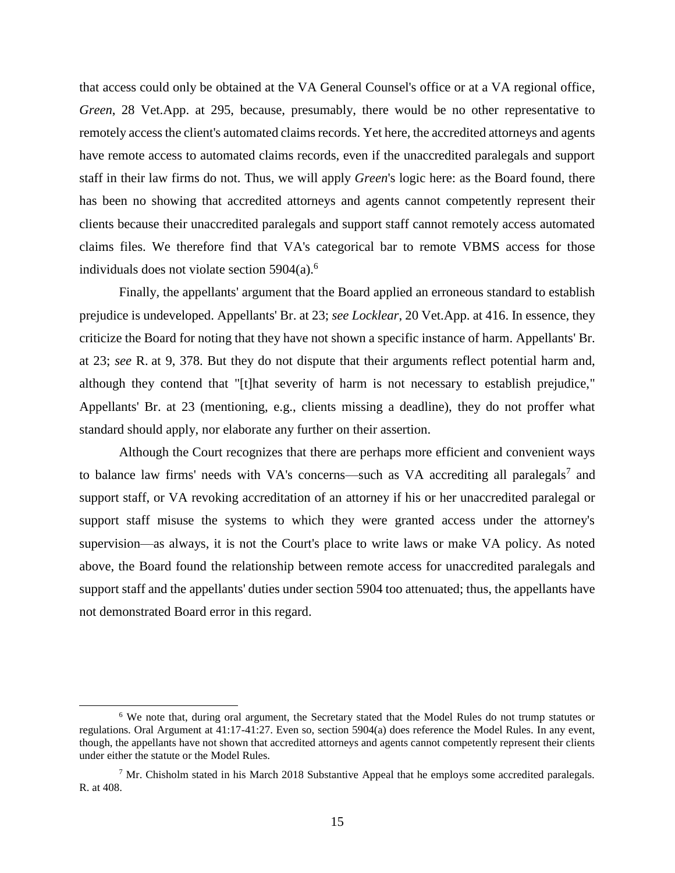that access could only be obtained at the VA General Counsel's office or at a VA regional office, *Green*, 28 Vet.App. at 295, because, presumably, there would be no other representative to remotely access the client's automated claims records. Yet here, the accredited attorneys and agents have remote access to automated claims records, even if the unaccredited paralegals and support staff in their law firms do not. Thus, we will apply *Green*'s logic here: as the Board found, there has been no showing that accredited attorneys and agents cannot competently represent their clients because their unaccredited paralegals and support staff cannot remotely access automated claims files. We therefore find that VA's categorical bar to remote VBMS access for those individuals does not violate section 5904(a). 6

Finally, the appellants' argument that the Board applied an erroneous standard to establish prejudice is undeveloped. Appellants' Br. at 23; *see Locklear*, 20 Vet.App. at 416. In essence, they criticize the Board for noting that they have not shown a specific instance of harm. Appellants' Br. at 23; *see* R. at 9, 378. But they do not dispute that their arguments reflect potential harm and, although they contend that "[t]hat severity of harm is not necessary to establish prejudice," Appellants' Br. at 23 (mentioning, e.g., clients missing a deadline), they do not proffer what standard should apply, nor elaborate any further on their assertion.

Although the Court recognizes that there are perhaps more efficient and convenient ways to balance law firms' needs with VA's concerns—such as VA accrediting all paralegals<sup>7</sup> and support staff, or VA revoking accreditation of an attorney if his or her unaccredited paralegal or support staff misuse the systems to which they were granted access under the attorney's supervision—as always, it is not the Court's place to write laws or make VA policy. As noted above, the Board found the relationship between remote access for unaccredited paralegals and support staff and the appellants' duties under section 5904 too attenuated; thus, the appellants have not demonstrated Board error in this regard.

<sup>6</sup> We note that, during oral argument, the Secretary stated that the Model Rules do not trump statutes or regulations. Oral Argument at 41:17-41:27. Even so, section 5904(a) does reference the Model Rules. In any event, though, the appellants have not shown that accredited attorneys and agents cannot competently represent their clients under either the statute or the Model Rules.

 $7$  Mr. Chisholm stated in his March 2018 Substantive Appeal that he employs some accredited paralegals. R. at 408.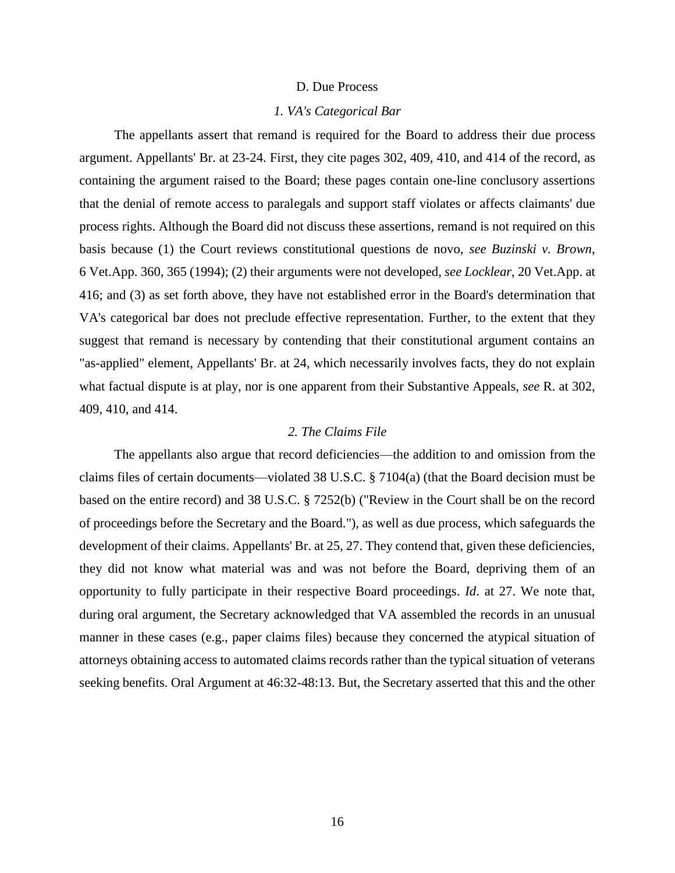#### D. Due Process

## *1. VA's Categorical Bar*

The appellants assert that remand is required for the Board to address their due process argument. Appellants' Br. at 23-24. First, they cite pages 302, 409, 410, and 414 of the record, as containing the argument raised to the Board; these pages contain one-line conclusory assertions that the denial of remote access to paralegals and support staff violates or affects claimants' due process rights. Although the Board did not discuss these assertions, remand is not required on this basis because (1) the Court reviews constitutional questions de novo, *see Buzinski v. Brown*, 6 Vet.App. 360, 365 (1994); (2) their arguments were not developed, *see Locklear*, 20 Vet.App. at 416; and (3) as set forth above, they have not established error in the Board's determination that VA's categorical bar does not preclude effective representation. Further, to the extent that they suggest that remand is necessary by contending that their constitutional argument contains an "as-applied" element, Appellants' Br. at 24, which necessarily involves facts, they do not explain what factual dispute is at play, nor is one apparent from their Substantive Appeals, *see* R. at 302, 409, 410, and 414.

# *2. The Claims File*

The appellants also argue that record deficiencies—the addition to and omission from the claims files of certain documents—violated 38 U.S.C. § 7104(a) (that the Board decision must be based on the entire record) and 38 U.S.C. § 7252(b) ("Review in the Court shall be on the record of proceedings before the Secretary and the Board."), as well as due process, which safeguards the development of their claims. Appellants' Br. at 25, 27. They contend that, given these deficiencies, they did not know what material was and was not before the Board, depriving them of an opportunity to fully participate in their respective Board proceedings. *Id*. at 27. We note that, during oral argument, the Secretary acknowledged that VA assembled the records in an unusual manner in these cases (e.g., paper claims files) because they concerned the atypical situation of attorneys obtaining access to automated claims records rather than the typical situation of veterans seeking benefits. Oral Argument at 46:32-48:13. But, the Secretary asserted that this and the other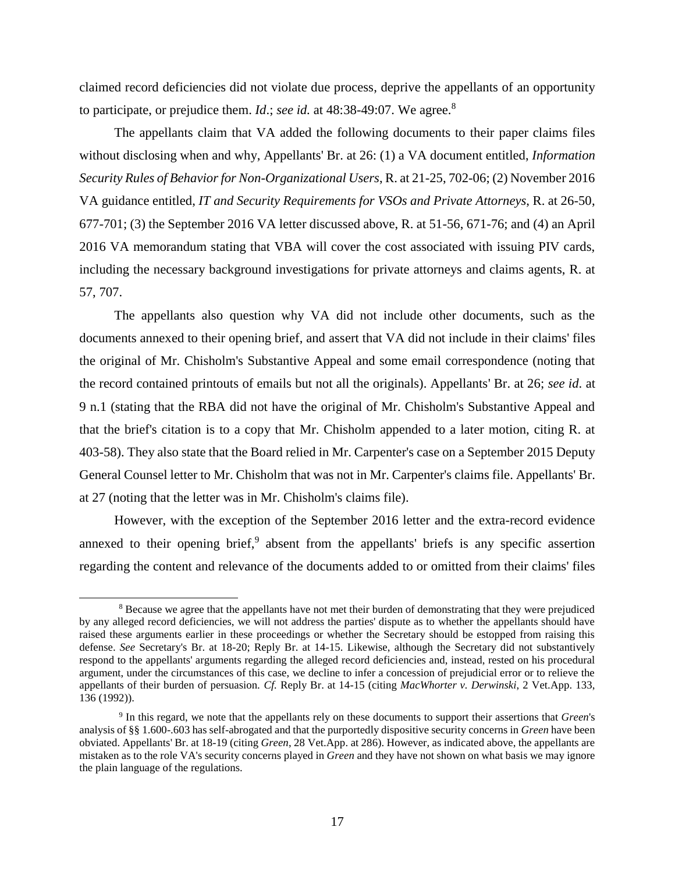claimed record deficiencies did not violate due process, deprive the appellants of an opportunity to participate, or prejudice them. *Id.*; *see id.* at 48:38-49:07. We agree.<sup>8</sup>

The appellants claim that VA added the following documents to their paper claims files without disclosing when and why, Appellants' Br. at 26: (1) a VA document entitled, *Information Security Rules of Behavior for Non-Organizational Users*, R. at 21-25, 702-06; (2) November 2016 VA guidance entitled, *IT and Security Requirements for VSOs and Private Attorneys*, R. at 26-50, 677-701; (3) the September 2016 VA letter discussed above, R. at 51-56, 671-76; and (4) an April 2016 VA memorandum stating that VBA will cover the cost associated with issuing PIV cards, including the necessary background investigations for private attorneys and claims agents, R. at 57, 707.

The appellants also question why VA did not include other documents, such as the documents annexed to their opening brief, and assert that VA did not include in their claims' files the original of Mr. Chisholm's Substantive Appeal and some email correspondence (noting that the record contained printouts of emails but not all the originals). Appellants' Br. at 26; *see id*. at 9 n.1 (stating that the RBA did not have the original of Mr. Chisholm's Substantive Appeal and that the brief's citation is to a copy that Mr. Chisholm appended to a later motion, citing R. at 403-58). They also state that the Board relied in Mr. Carpenter's case on a September 2015 Deputy General Counsel letter to Mr. Chisholm that was not in Mr. Carpenter's claims file. Appellants' Br. at 27 (noting that the letter was in Mr. Chisholm's claims file).

However, with the exception of the September 2016 letter and the extra-record evidence annexed to their opening brief,<sup>9</sup> absent from the appellants' briefs is any specific assertion regarding the content and relevance of the documents added to or omitted from their claims' files

<sup>8</sup> Because we agree that the appellants have not met their burden of demonstrating that they were prejudiced by any alleged record deficiencies, we will not address the parties' dispute as to whether the appellants should have raised these arguments earlier in these proceedings or whether the Secretary should be estopped from raising this defense. *See* Secretary's Br. at 18-20; Reply Br. at 14-15. Likewise, although the Secretary did not substantively respond to the appellants' arguments regarding the alleged record deficiencies and, instead, rested on his procedural argument, under the circumstances of this case, we decline to infer a concession of prejudicial error or to relieve the appellants of their burden of persuasion. *Cf.* Reply Br. at 14-15 (citing *MacWhorter v. Derwinski*, 2 Vet.App. 133, 136 (1992)).

<sup>9</sup> In this regard, we note that the appellants rely on these documents to support their assertions that *Green*'s analysis of §§ 1.600-.603 has self-abrogated and that the purportedly dispositive security concerns in *Green* have been obviated. Appellants' Br. at 18-19 (citing *Green*, 28 Vet.App. at 286). However, as indicated above, the appellants are mistaken as to the role VA's security concerns played in *Green* and they have not shown on what basis we may ignore the plain language of the regulations.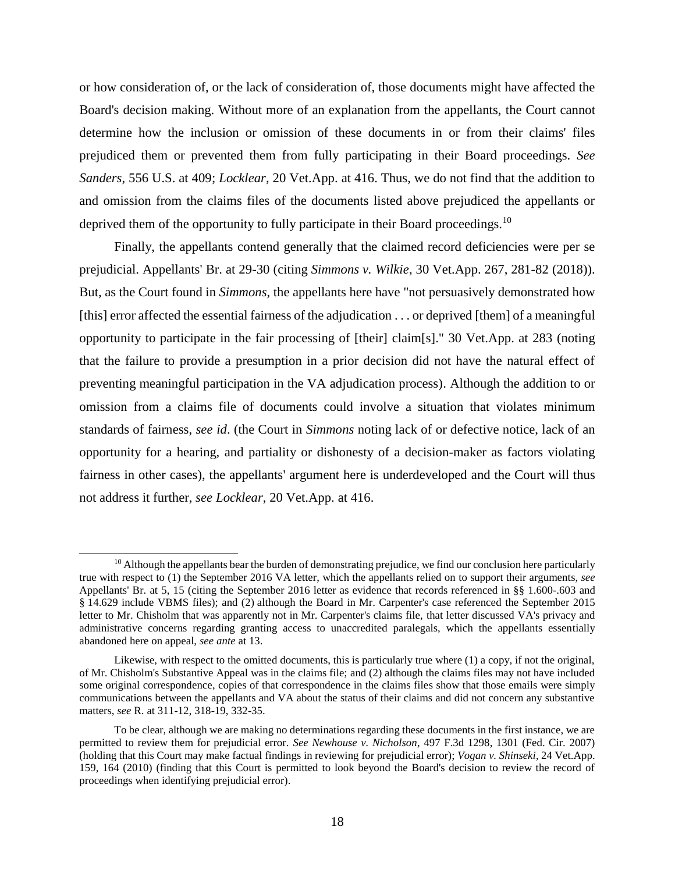or how consideration of, or the lack of consideration of, those documents might have affected the Board's decision making. Without more of an explanation from the appellants, the Court cannot determine how the inclusion or omission of these documents in or from their claims' files prejudiced them or prevented them from fully participating in their Board proceedings. *See Sanders*, 556 U.S. at 409; *Locklear*, 20 Vet.App. at 416. Thus, we do not find that the addition to and omission from the claims files of the documents listed above prejudiced the appellants or deprived them of the opportunity to fully participate in their Board proceedings.<sup>10</sup>

Finally, the appellants contend generally that the claimed record deficiencies were per se prejudicial. Appellants' Br. at 29-30 (citing *Simmons v. Wilkie*, 30 Vet.App. 267, 281-82 (2018)). But, as the Court found in *Simmons*, the appellants here have "not persuasively demonstrated how [this] error affected the essential fairness of the adjudication . . . or deprived [them] of a meaningful opportunity to participate in the fair processing of [their] claim[s]." 30 Vet.App. at 283 (noting that the failure to provide a presumption in a prior decision did not have the natural effect of preventing meaningful participation in the VA adjudication process). Although the addition to or omission from a claims file of documents could involve a situation that violates minimum standards of fairness, *see id*. (the Court in *Simmons* noting lack of or defective notice, lack of an opportunity for a hearing, and partiality or dishonesty of a decision-maker as factors violating fairness in other cases), the appellants' argument here is underdeveloped and the Court will thus not address it further, *see Locklear*, 20 Vet.App. at 416.

 $10$  Although the appellants bear the burden of demonstrating prejudice, we find our conclusion here particularly true with respect to (1) the September 2016 VA letter, which the appellants relied on to support their arguments, *see* Appellants' Br. at 5, 15 (citing the September 2016 letter as evidence that records referenced in §§ 1.600-.603 and § 14.629 include VBMS files); and (2) although the Board in Mr. Carpenter's case referenced the September 2015 letter to Mr. Chisholm that was apparently not in Mr. Carpenter's claims file, that letter discussed VA's privacy and administrative concerns regarding granting access to unaccredited paralegals, which the appellants essentially abandoned here on appeal, *see ante* at 13.

Likewise, with respect to the omitted documents, this is particularly true where (1) a copy, if not the original, of Mr. Chisholm's Substantive Appeal was in the claims file; and (2) although the claims files may not have included some original correspondence, copies of that correspondence in the claims files show that those emails were simply communications between the appellants and VA about the status of their claims and did not concern any substantive matters, *see* R. at 311-12, 318-19, 332-35.

To be clear, although we are making no determinations regarding these documents in the first instance, we are permitted to review them for prejudicial error. *See Newhouse v. Nicholson*, 497 F.3d 1298, 1301 (Fed. Cir. 2007) (holding that this Court may make factual findings in reviewing for prejudicial error); *Vogan v. Shinseki*, 24 Vet.App. 159, 164 (2010) (finding that this Court is permitted to look beyond the Board's decision to review the record of proceedings when identifying prejudicial error).